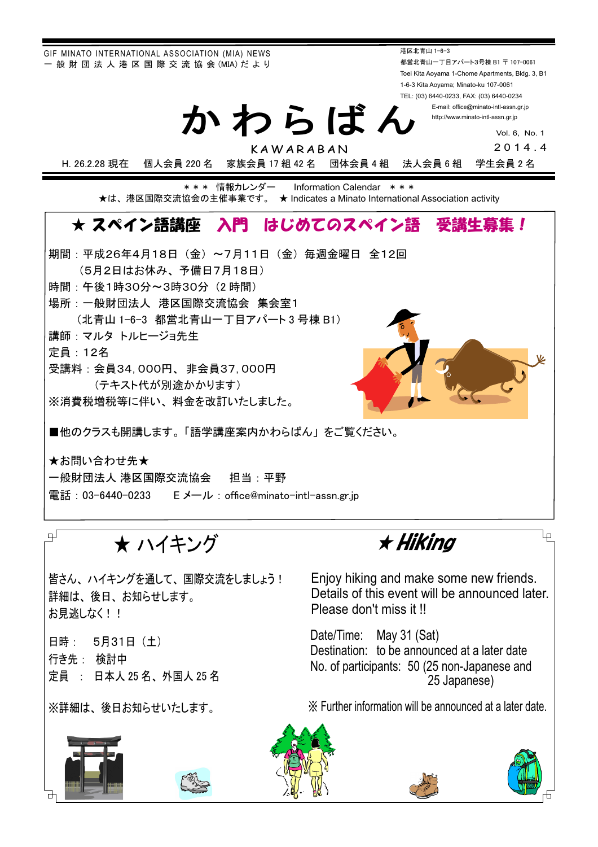GIF MINATO INTERNATIONAL ASSOCIATION (MIA) NEWS - 般 財 団 法 人 港 区 国 際 交 流 協 会 (MIA) だ よ り

港区北青山 1-6-3 都営北青山一丁目アパート3号棟 B1 〒 107-0061 Toei Kita Aoyama 1-Chome Apartments, Bldg. 3, B1 1-6-3 Kita Aoyama; Minato-ku 107-0061 TEL: (03) 6440-0233, FAX: (03) 6440-0234

E-mail: office@minato-intl-assn.gr.jp http://www.minato-intl-assn.gr.jp

> Vol. 6, No. 1 2014.4

KAWARABAN

かわらばん

H. 26.2.28 現在 個人会員 220 名 家族会員 17 組 42 名 団体会員 4 組 法人会員 6 組 学生会員 2 名

\*\*\* 情報カレンダー Information Calendar \*\*\* ★は、港区国際交流協会の主催事業です。 ★ Indicates a Minato International Association activity

## ★ スペイン語講座 入門 はじめてのスペイン語 受講生慕集!

期間:平成26年4月18日 (金) ~7月11日 (金) 每调金曜日 全12回 (5月2日はお休み、予備日7月18日) 時間: 午後1時30分~3時30分 (2時間) 場所: 一般財団法人 港区国際交流協会 集会室1 (北青山 1-6-3 都営北青山一工目アパート3号棟 B1) 講師: マルタ トルヒージョ先生 定員: 12名 受講料: 会員34,000円、非会員37,000円 (テキスト代が別涂かかります) ※消費税増税等に伴い、料金を改訂いたしました。 ■他のクラスも開講します。「語学講座案内かわらばん」をご覧ください。

★お問い合わせ先★ 一般財団法人 港区国際交流協会 【 担当:平野 電話: 03-6440-0233 Eメール: office@minato-intl-assn.gr.jp

 $\mathbb{F}$   $\mathsf{H}$   $\mathsf{H}$   $\mathsf{H}$   $\mathsf{H}$ 

皆さん、 ハイキングを通して、国際交流をしましょう! 詳細は、後日、お知らせします。 お見逃しなく!!

日時: 5月31日 (土) 行き先: 検討中 定員 : 日本人 25 名、外国人 25 名

※詳細は、後日お知らせいたします。

ẅẅẅẅẅẅᴾṾᴾᴾᴾᵦᶇᶉᶇᶌᶅ

Eniov hiking and make some new friends. Details of this event will be announced later. Please don't miss it !!

Date/Time: May 31 (Sat) Destination: to be announced at a later date No. of participants: 50 (25 non-Japanese and 25 Japanese)

䈜㻌Further information will be announced at a later date.











Lр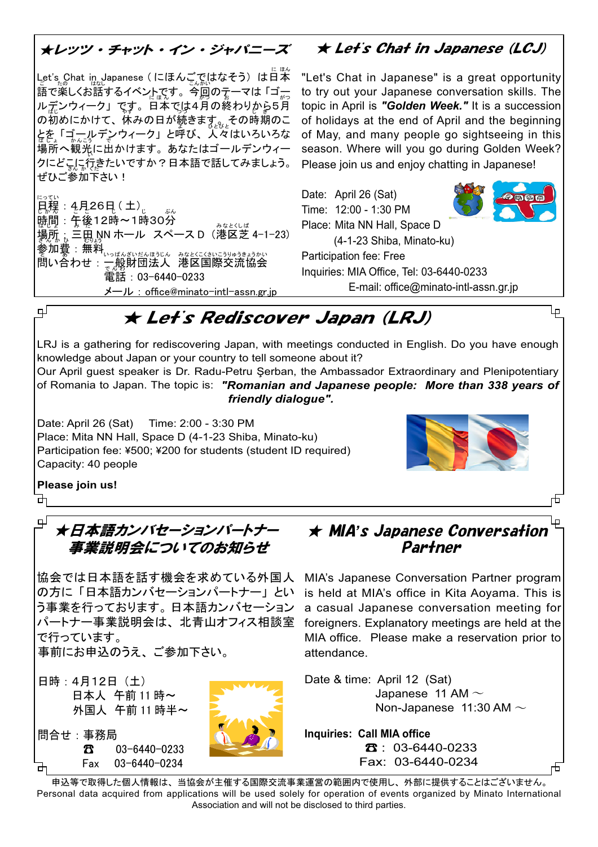#### オレッツ・チャット・イン・ジャパニーズ  $\star$  Let's Chat in Japanese (LCJ)

Let's Chat in Japanese (にほんごではなそう) は日本 語で楽しくお話するイベントです。今回のテーマは「ゴー ルデンウィーク」です。日本では4月の終わりから5月 <sub>|</sub>の初めにかけて、休みの日が続きま<sub>す゚゙¿ $\iota_\iota$ その時期のこ</sub> │とを「ゴールデンウィーク」と呼び、人々はいろいろな 場所へ観光に出かけます。あなたはゴールデンウィー クにどこに行きたいですか?日本語で話してみましょう。 ぜひご参加下さい!

日程: 4月26日 (土). 時間:午後12時~1時30分 <u>場所;三田 №</u> ホール スペースD(港区芝 4-1-23) 電話:03-6440-0233 メール: office@minato-intl-assn.gr.jp

"Let's Chat in Japanese" is a great opportunity to try out your Japanese conversation skills. The topic in April is "Golden Week." It is a succession of holidays at the end of April and the beginning of May, and many people go sightseeing in this season. Where will you go during Golden Week? Please join us and enjoy chatting in Japanese!

Date: April 26 (Sat) Time: 12:00 - 1:30 PM Place: Mita NN Hall, Space D (4-1-23 Shiba, Minato-ku) Participation fee: Free Inquiries: MIA Office. Tel: 03-6440-0233

E-mail: office@minato-intl-assn.gr.jp

# ★ Let's Rediscover Japan (LRJ)

LRJ is a gathering for rediscovering Japan, with meetings conducted in English. Do you have enough knowledge about Japan or your country to tell someone about it?

Our April guest speaker is Dr. Radu-Petru Serban, the Ambassador Extraordinary and Plenipotentiary of Romania to Japan. The topic is: "Romanian and Japanese people: More than 338 years of friendly dialogue".

Date: April 26 (Sat) Time: 2:00 - 3:30 PM Place: Mita NN Hall. Space D (4-1-23 Shiba, Minato-ku) Participation fee: ¥500; ¥200 for students (student ID required) Capacity: 40 people



Ļρ

╓╄╗

Please join us! ᇚ

பு

#### Ψ ★日本語カンバセーションパートナー 事業説明会についてのお知らせ

協会では日本語を話す機会を求めている外国人 の方に「日本語カンバセーションパートナー」とい う事業を行っております。日本語カンバセーション パートナー事業説明会は、北青山オフィス相談室 で行っています。

事前にお申込のうえ、ご参加下さい。

- 日時: 4月12日 (土) 日本人 午前11時~ 外国人 午前 11 時半~
- 問合せ:事務局  $\mathbf{z}$ 03-6440-0233 03-6440-0234 Fax



#### Lр ★ MIA's Japanese Conversation Partner

MIA's Japanese Conversation Partner program is held at MIA's office in Kita Aoyama. This is a casual Japanese conversation meeting for foreigners. Explanatory meetings are held at the MIA office. Please make a reservation prior to attendance.

Date & time: April 12 (Sat) Japanese 11 AM  $\sim$ Non-Japanese  $11:30$  AM  $\sim$ 

**Inquiries: Call MIA office**  $33 : 03 - 6440 - 0233$ Fax: 03-6440-0234

申込等で取得した個人情報は、当協会が主催する国際交流事業運営の範囲内で使用し、外部に提供することはございません。 Personal data acquired from applications will be used solely for operation of events organized by Minato International Association and will not be disclosed to third parties.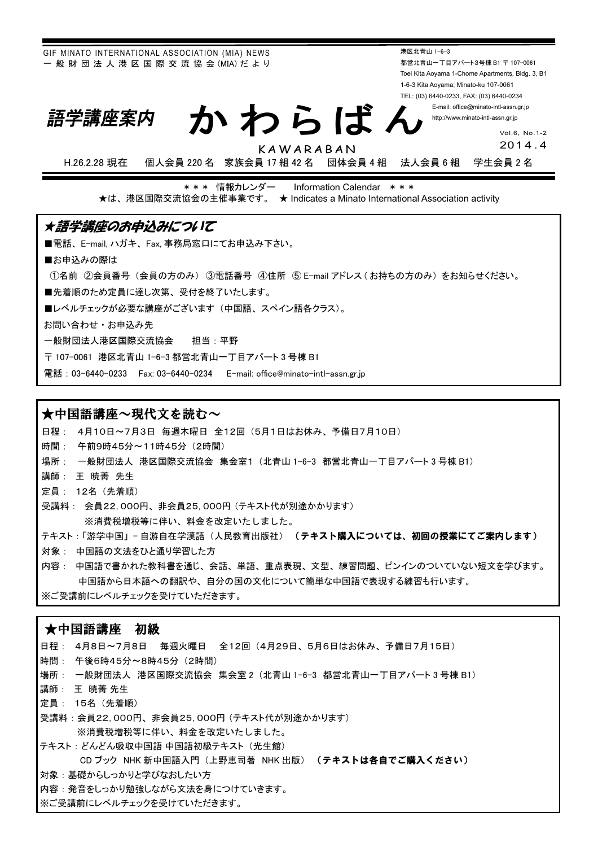GIF MINATO INTERNATIONAL ASSOCIATION (MIA) NEWS - 般 財 団 法 人 港 区 国 際 交 流 協 会 (MIA) だ よ り

港区北青山 1-6-3 都営北青山一丁目アパート3号棟 B1 〒 107-0061 Toei Kita Aoyama 1-Chome Apartments, Bldg. 3, B1 1-6-3 Kita Aoyama; Minato-ku 107-0061 TEL: (03) 6440-0233, FAX: (03) 6440-0234

> E-mail: office@minato-intl-assn.gr.jp http://www.minato-intl-assn.gr.jp

> > Vol.6, No.1-2 201 4.4

KAWARABAN

かわらばん

H.26.2.28 現在 個人会員 220 名 家族会員 17 組 42 名 団体会員 4 組 法人会員 6 組 学生会員 2 名

\*\*\* 情報カレンダー Information Calendar \*\*\* ★は、港区国際交流協会の主催事業です。 ★ Indicates a Minato International Association activity

#### ★語学講座のお申込みについて

■電話、E-mail, ハガキ、Fax, 事務局窓口にてお申込み下さい。

■お申込みの際は

①名前 ②会員番号(会員の方のみ) ③電話番号 ④住所 ⑤ E-mail アドレス (お持ちの方のみ) をお知らせください。

■先着順のため定員に達し次第、受付を終了いたします。

■レベルチェックが必要な講座がございます(中国語、スペイン語各クラス)。

お問い合わせ・お申込み先

語学講座案内

一般財団法人港区国際交流協会 担当:平野

〒 107-0061 港区北青山 1-6-3 都営北青山一丁目アパート3号棟 B1

電話: 03-6440-0233 Fax: 03-6440-0234 E-mail: office@minato-intl-assn.gr.jp

#### ★中国語講座~現代文を読む~

日程: 4月10日~7月3日 毎週木曜日 全12回 (5月1日はお休み、予備日7月10日)

時間: 午前9時45分~11時45分 (2時間)

場所: 一般財団法人 港区国際交流協会 集会室1 (北青山 1-6-3 都営北青山一丁目アパート3号棟 B1)

講師: 王暁菁先生

定員: 12名 (先着順)

受講料: 会員22,000円、非会員25,000円 (テキスト代が別途かかります) ※消費税増税等に伴い、料金を改定いたしました。

テキスト:「游学中国」- 自游自在学漢語(人民教育出版社) (テキスト購入については、初回の授業にてご案内します)

対象: 中国語の文法をひと通り学習した方

内容: 中国語で書かれた教科書を通じ、会話、単語、重点表現、文型、練習問題、ピンインのついていない短文を学びます。 中国語から日本語への翻訳や、自分の国の文化について簡単な中国語で表現する練習も行います。

※ご受講前にレベルチェックを受けていただきます。

#### ★中国語講座 初級

日程: 4月8日~7月8日 毎週火曜日 全12回 (4月29日、5月6日はお休み、予備日7月15日) 時間: 午後6時45分~8時45分 (2時間) 場所 : 一般財団法人 港区国際交流協会 集会室2 (北青山 1-6-3 都営北青山一丁目アパート3号棟 B1) 譴師 : 王 暁菁 先生 **定**員: 15名 (先着順) 受講料: 会員22,000円、非会員25,000円 (テキスト代が別途かかります) ※消費税増税等に伴い、料金を改定いたしました。 テキスト: どんどん吸収中国語 中国語初級テキスト (光生館) CD ブック NHK 新中国語入門 (上野恵司著 NHK 出版) (テキストは各自でご購入ください) 対象:基礎からしっかりと学びなおしたい方 内容:発音をしっかり勉強しながら文法を身につけていきます。 ※ご受講前にレベルチェックを受けていただきます。